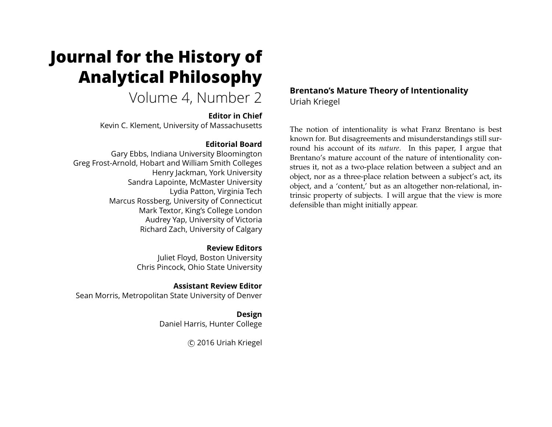# **Journal for the History of Analytical Philosophy**

Volume 4, Number 2

#### **Editor in Chief**

Kevin C. Klement, University of Massachusetts

#### **Editorial Board**

Gary Ebbs, Indiana University Bloomington Greg Frost-Arnold, Hobart and William Smith Colleges Henry Jackman, York University Sandra Lapointe, McMaster University Lydia Patton, Virginia Tech Marcus Rossberg, University of Connecticut Mark Textor, King's College London Audrey Yap, University of Victoria Richard Zach, University of Calgary

> **Review Editors** Juliet Floyd, Boston University Chris Pincock, Ohio State University

**Assistant Review Editor** Sean Morris, Metropolitan State University of Denver

> **Design** Daniel Harris, Hunter College

> > c 2016 Uriah Kriegel

# **Brentano's Mature Theory of Intentionality** Uriah Kriegel

The notion of intentionality is what Franz Brentano is best known for. But disagreements and misunderstandings still surround his account of its *nature*. In this paper, I argue that Brentano's mature account of the nature of intentionality construes it, not as a two-place relation between a subject and an object, nor as a three-place relation between a subject's act, its object, and a 'content,' but as an altogether non-relational, intrinsic property of subjects. I will argue that the view is more defensible than might initially appear.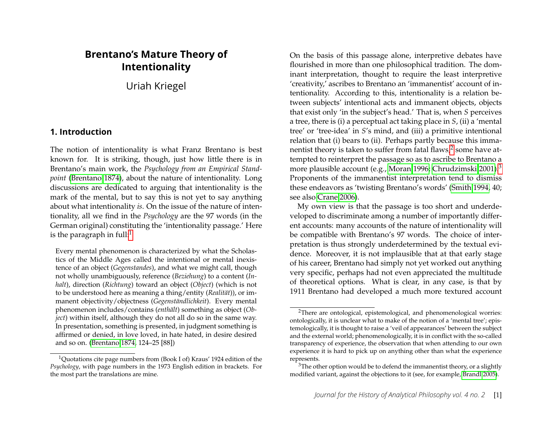# **Brentano's Mature Theory of Intentionality**

Uriah Kriegel

# **1. Introduction**

The notion of intentionality is what Franz Brentano is best known for. It is striking, though, just how little there is in Brentano's main work, the *Psychology from an Empirical Standpoint* [\(Brentano 1874\)](#page-14-0), about the nature of intentionality. Long discussions are dedicated to arguing that intentionality is the mark of the mental, but to say this is not yet to say anything about what intentionality *is*. On the issue of the nature of intentionality, all we find in the *Psychology* are the 97 words (in the German original) constituting the 'intentionality passage.' Here is the paragraph in full: $<sup>1</sup>$  $<sup>1</sup>$  $<sup>1</sup>$ </sup>

Every mental phenomenon is characterized by what the Scholastics of the Middle Ages called the intentional or mental inexistence of an object (*Gegenstandes*), and what we might call, though not wholly unambiguously, reference (*Beziehung*) to a content (*Inhalt*), direction (*Richtung*) toward an object (*Object*) (which is not to be understood here as meaning a thing/entity (*Realität*)), or immanent objectivity/objectness (*Gegenständlichkeit*). Every mental phenomenon includes/contains (*enthält*) something as object (*Object*) within itself, although they do not all do so in the same way. In presentation, something is presented, in judgment something is affirmed or denied, in love loved, in hate hated, in desire desired and so on. [\(Brentano 1874,](#page-14-0) 124–25 [88])

On the basis of this passage alone, interpretive debates have flourished in more than one philosophical tradition. The dominant interpretation, thought to require the least interpretive 'creativity,' ascribes to Brentano an 'immanentist' account of intentionality. According to this, intentionality is a relation between subjects' intentional acts and immanent objects, objects that exist only 'in the subject's head.' That is, when *S* perceives a tree, there is (i) a perceptual act taking place in *S*, (ii) a 'mental tree' or 'tree-idea' in *S*'s mind, and (iii) a primitive intentional relation that (i) bears to (ii). Perhaps partly because this immanentist theory is taken to suffer from fatal flaws, $^2$  $^2$  some have attempted to reinterpret the passage so as to ascribe to Brentano a more plausible account (e.g., [Moran 1996;](#page-15-0) [Chrudzimski 2001\)](#page-14-1).<sup>[3](#page-1-2)</sup> Proponents of the immanentist interpretation tend to dismiss these endeavors as 'twisting Brentano's words' [\(Smith 1994,](#page-15-1) 40; see also [Crane 2006\)](#page-14-2).

My own view is that the passage is too short and underdeveloped to discriminate among a number of importantly different accounts: many accounts of the nature of intentionality will be compatible with Brentano's 97 words. The choice of interpretation is thus strongly underdetermined by the textual evidence. Moreover, it is not implausible that at that early stage of his career, Brentano had simply not yet worked out anything very specific, perhaps had not even appreciated the multitude of theoretical options. What is clear, in any case, is that by 1911 Brentano had developed a much more textured account

<span id="page-1-0"></span><sup>&</sup>lt;sup>1</sup>Quotations cite page numbers from (Book I of) Kraus' 1924 edition of the *Psychology*, with page numbers in the 1973 English edition in brackets. For the most part the translations are mine.

<span id="page-1-1"></span><sup>&</sup>lt;sup>2</sup>There are ontological, epistemological, and phenomenological worries: ontologically, it is unclear what to make of the notion of a 'mental tree'; epistemologically, it is thought to raise a 'veil of appearances' between the subject and the external world; phenomenologically, it is in conflict with the so-called transparency of experience, the observation that when attending to our own experience it is hard to pick up on anything other than what the experience represents.

<span id="page-1-2"></span> $3$ The other option would be to defend the immanentist theory, or a slightly modified variant, against the objections to it (see, for example, [Brandl 2005\)](#page-14-3).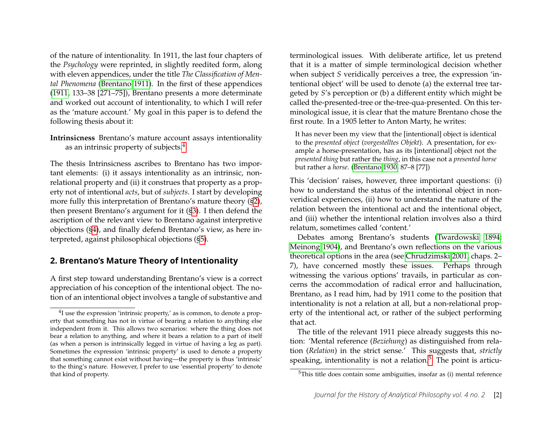of the nature of intentionality. In 1911, the last four chapters of the *Psychology* were reprinted, in slightly reedited form, along with eleven appendices, under the title *The Classification of Mental Phenomena* [\(Brentano 1911\)](#page-14-4). In the first of these appendices [\(1911,](#page-14-4) 133–38 [271–75]), Brentano presents a more determinate and worked out account of intentionality, to which I will refer as the 'mature account.' My goal in this paper is to defend the following thesis about it:

**Intrinsicness** Brentano's mature account assays intentionality as an intrinsic property of subjects.[4](#page-2-0)

The thesis Intrinsicness ascribes to Brentano has two important elements: (i) it assays intentionality as an intrinsic, nonrelational property and (ii) it construes that property as a property not of intentional *acts*, but of *subjects*. I start by developing more fully this interpretation of Brentano's mature theory ([§2\)](#page-2-1), then present Brentano's argument for it ([§3\)](#page-6-0). I then defend the ascription of the relevant view to Brentano against interpretive objections ([§4\)](#page-7-0), and finally defend Brentano's view, as here interpreted, against philosophical objections ([§5\)](#page-9-0).

### <span id="page-2-1"></span>**2. Brentano's Mature Theory of Intentionality**

A first step toward understanding Brentano's view is a correct appreciation of his conception of the intentional object. The notion of an intentional object involves a tangle of substantive and

terminological issues. With deliberate artifice, let us pretend that it is a matter of simple terminological decision whether when subject *S* veridically perceives a tree, the expression 'intentional object' will be used to denote (a) the external tree targeted by *S*'s perception or (b) a different entity which might be called the-presented-tree or the-tree-qua-presented. On this terminological issue, it is clear that the mature Brentano chose the first route. In a 1905 letter to Anton Marty, he writes:

It has never been my view that the [intentional] object is identical to the *presented object* (*vorgestelltes Objekt*). A presentation, for example a horse-presentation, has as its [intentional] object not the *presented thing* but rather the *thing*, in this case not a *presented horse* but rather a *horse*. [\(Brentano 1930,](#page-14-5) 87–8 [77])

This 'decision' raises, however, three important questions: (i) how to understand the status of the intentional object in nonveridical experiences, (ii) how to understand the nature of the relation between the intentional act and the intentional object, and (iii) whether the intentional relation involves also a third relatum, sometimes called 'content.'

Debates among Brentano's students [\(Twardowski 1894;](#page-15-2) [Meinong 1904\)](#page-14-6), and Brentano's own reflections on the various theoretical options in the area (see [Chrudzimski 2001,](#page-14-1) chaps. 2– 7), have concerned mostly these issues. Perhaps through witnessing the various options' travails, in particular as concerns the accommodation of radical error and hallucination, Brentano, as I read him, had by 1911 come to the position that intentionality is not a relation at all, but a non-relational property of the intentional act, or rather of the subject performing that act.

The title of the relevant 1911 piece already suggests this notion: 'Mental reference (*Beziehung*) as distinguished from relation (*Relation*) in the strict sense.' This suggests that, *strictly* speaking, intentionality is not a relation. $5$  The point is articu-

<span id="page-2-0"></span> $4$ I use the expression 'intrinsic property,' as is common, to denote a property that something has not in virtue of bearing a relation to anything else independent from it. This allows two scenarios: where the thing does not bear a relation to anything, and where it bears a relation to a part of itself (as when a person is intrinsically legged in virtue of having a leg as part). Sometimes the expression 'intrinsic property' is used to denote a property that something cannot exist without having—the property is thus 'intrinsic' to the thing's nature. However, I prefer to use 'essential property' to denote that kind of property.

<span id="page-2-2"></span><sup>5</sup>This title does contain some ambiguities, insofar as (i) mental reference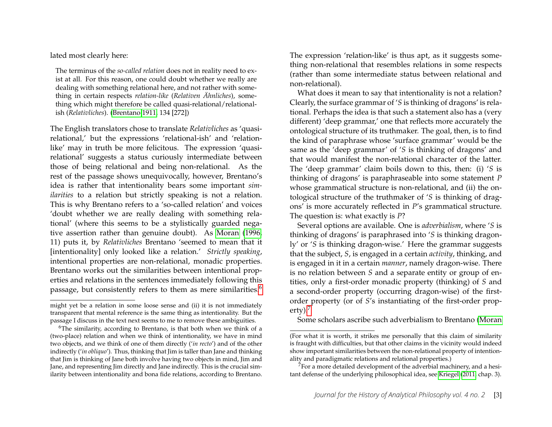lated most clearly here:

The terminus of the *so-called relation* does not in reality need to exist at all. For this reason, one could doubt whether we really are dealing with something relational here, and not rather with something in certain respects *relation-like* (*Relativen Ähnliches*), something which might therefore be called quasi-relational/relationalish (*Relativliches*). [\(Brentano 1911,](#page-14-4) 134 [272])

The English translators chose to translate *Relativliches* as 'quasirelational,' but the expressions 'relational-ish' and 'relationlike' may in truth be more felicitous. The expression 'quasirelational' suggests a status curiously intermediate between those of being relational and being non-relational. As the rest of the passage shows unequivocally, however, Brentano's idea is rather that intentionality bears some important *similarities* to a relation but strictly speaking is not a relation. This is why Brentano refers to a 'so-called relation' and voices 'doubt whether we are really dealing with something relational' (where this seems to be a stylistically guarded negative assertion rather than genuine doubt). As [Moran](#page-15-0) [\(1996,](#page-15-0) 11) puts it, by *Relativliches* Brentano 'seemed to mean that it [intentionality] only looked like a relation.' *Strictly speaking*, intentional properties are non-relational, monadic properties. Brentano works out the similarities between intentional properties and relations in the sentences immediately following this passage, but consistently refers to them as mere similarities.<sup>[6](#page-3-0)</sup>

The expression 'relation-like' is thus apt, as it suggests something non-relational that resembles relations in some respects (rather than some intermediate status between relational and non-relational).

What does it mean to say that intentionality is not a relation? Clearly, the surface grammar of '*S* is thinking of dragons' is relational. Perhaps the idea is that such a statement also has a (very different) 'deep grammar,' one that reflects more accurately the ontological structure of its truthmaker. The goal, then, is to find the kind of paraphrase whose 'surface grammar' would be the same as the 'deep grammar' of '*S* is thinking of dragons' and that would manifest the non-relational character of the latter. The 'deep grammar' claim boils down to this, then: (i) '*S* is thinking of dragons' is paraphraseable into some statement *P* whose grammatical structure is non-relational, and (ii) the ontological structure of the truthmaker of '*S* is thinking of dragons' is more accurately reflected in *P*'s grammatical structure. The question is: what exactly is *P*?

Several options are available. One is *adverbialism*, where '*S* is thinking of dragons' is paraphrased into '*S* is thinking dragonly' or '*S* is thinking dragon-wise.' Here the grammar suggests that the subject, *S*, is engaged in a certain *activity*, thinking, and is engaged in it in a certain *manner*, namely dragon-wise. There is no relation between *S* and a separate entity or group of entities, only a first-order monadic property (thinking) of *S* and a second-order property (occurring dragon-wise) of the firstorder property (or of *S*'s instantiating of the first-order property).[7](#page-3-1)

Some scholars ascribe such adverbialism to Brentano [\(Moran](#page-15-0)

might yet be a relation in some loose sense and (ii) it is not immediately transparent that mental reference is the same thing as intentionality. But the passage I discuss in the text next seems to me to remove these ambiguities.

<span id="page-3-0"></span> $6$ The similarity, according to Brentano, is that both when we think of a (two-place) relation and when we think of intentionality, we have in mind two objects, and we think of one of them directly ('*in recto*') and of the other indirectly ('*in obliquo*'). Thus, thinking that Jim is taller than Jane and thinking that Jim is thinking of Jane both involve having two objects in mind, Jim and Jane, and representing Jim directly and Jane indirectly. This is the crucial similarity between intentionality and bona fide relations, according to Brentano.

<sup>(</sup>For what it is worth, it strikes me personally that this claim of similarity is fraught with difficulties, but that other claims in the vicinity would indeed show important similarities between the non-relational property of intentionality and paradigmatic relations and relational properties.)

<span id="page-3-1"></span> $7$ For a more detailed development of the adverbial machinery, and a hesitant defense of the underlying philosophical idea, see [Kriegel](#page-14-7) [\(2011,](#page-14-7) chap. 3).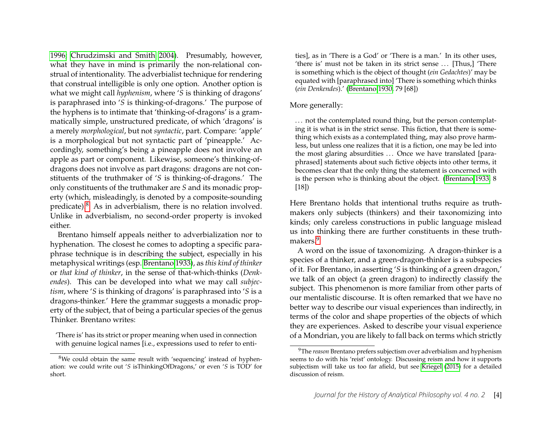[1996;](#page-15-0) [Chrudzimski and Smith 2004\)](#page-14-8). Presumably, however, what they have in mind is primarily the non-relational construal of intentionality. The adverbialist technique for rendering that construal intelligible is only one option. Another option is what we might call *hyphenism*, where '*S* is thinking of dragons' is paraphrased into '*S* is thinking-of-dragons.' The purpose of the hyphens is to intimate that 'thinking-of-dragons' is a grammatically simple, unstructured predicate, of which 'dragons' is a merely *morphological*, but not *syntactic*, part. Compare: 'apple' is a morphological but not syntactic part of 'pineapple.' Accordingly, something's being a pineapple does not involve an apple as part or component. Likewise, someone's thinking-ofdragons does not involve as part dragons: dragons are not constituents of the truthmaker of '*S* is thinking-of-dragons.' The only constituents of the truthmaker are *S* and its monadic property (which, misleadingly, is denoted by a composite-sounding predicate).[8](#page-4-0) As in adverbialism, there is no relation involved. Unlike in adverbialism, no second-order property is invoked either.

Brentano himself appeals neither to adverbialization nor to hyphenation. The closest he comes to adopting a specific paraphrase technique is in describing the subject, especially in his metaphysical writings (esp. [Brentano 1933\)](#page-14-9), as *this kind of thinker* or *that kind of thinker*, in the sense of that-which-thinks (*Denkendes*). This can be developed into what we may call *subjectism*, where '*S* is thinking of dragons' is paraphrased into '*S* is a dragons-thinker.' Here the grammar suggests a monadic property of the subject, that of being a particular species of the genus Thinker. Brentano writes:

'There is' has its strict or proper meaning when used in connection with genuine logical names [i.e., expressions used to refer to enti-

ties], as in 'There is a God' or 'There is a man.' In its other uses, 'there is' must not be taken in its strict sense ... [Thus,] 'There is something which is the object of thought (*ein Gedachtes*)' may be equated with [paraphrased into] 'There is something which thinks (*ein Denkendes*).' [\(Brentano 1930,](#page-14-5) 79 [68])

#### More generally:

... not the contemplated round thing, but the person contemplating it is what is in the strict sense. This fiction, that there is something which exists as a contemplated thing, may also prove harmless, but unless one realizes that it is a fiction, one may be led into the most glaring absurdities ... Once we have translated [paraphrased] statements about such fictive objects into other terms, it becomes clear that the only thing the statement is concerned with is the person who is thinking about the object. [\(Brentano 1933,](#page-14-9) 8 [18])

Here Brentano holds that intentional truths require as truthmakers only subjects (thinkers) and their taxonomizing into kinds; only careless constructions in public language mislead us into thinking there are further constituents in these truth-makers.<sup>[9](#page-4-1)</sup>

A word on the issue of taxonomizing. A dragon-thinker is a species of a thinker, and a green-dragon-thinker is a subspecies of it. For Brentano, in asserting '*S* is thinking of a green dragon,' we talk of an object (a green dragon) to indirectly classify the subject. This phenomenon is more familiar from other parts of our mentalistic discourse. It is often remarked that we have no better way to describe our visual experiences than indirectly, in terms of the color and shape properties of the objects of which they are experiences. Asked to describe your visual experience of a Mondrian, you are likely to fall back on terms which strictly

<span id="page-4-0"></span><sup>&</sup>lt;sup>8</sup>We could obtain the same result with 'sequencing' instead of hyphenation: we could write out '*S* isThinkingOfDragons,' or even '*S* is TOD' for short.

<span id="page-4-1"></span><sup>9</sup>The *reason* Brentano prefers subjectism over adverbialism and hyphenism seems to do with his 'reist' ontology. Discussing reism and how it supports subjectism will take us too far afield, but see [Kriegel \(2015\)](#page-14-10) for a detailed discussion of reism.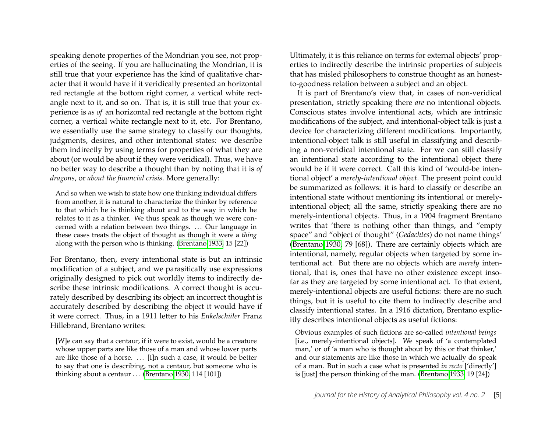speaking denote properties of the Mondrian you see, not properties of the seeing. If you are hallucinating the Mondrian, it is still true that your experience has the kind of qualitative character that it would have if it veridically presented an horizontal red rectangle at the bottom right corner, a vertical white rectangle next to it, and so on. That is, it is still true that your experience is *as of* an horizontal red rectangle at the bottom right corner, a vertical white rectangle next to it, etc. For Brentano, we essentially use the same strategy to classify our thoughts, judgments, desires, and other intentional states: we describe them indirectly by using terms for properties of what they are about (or would be about if they were veridical). Thus, we have no better way to describe a thought than by noting that it is *of dragons*, or *about the financial crisis*. More generally:

And so when we wish to state how one thinking individual differs from another, it is natural to characterize the thinker by reference to that which he is thinking about and to the way in which he relates to it as a thinker. We thus speak as though we were concerned with a relation between two things. . . . Our language in these cases treats the object of thought as though it were a *thing* along with the person who is thinking. [\(Brentano 1933,](#page-14-9) 15 [22])

For Brentano, then, every intentional state is but an intrinsic modification of a subject, and we parasitically use expressions originally designed to pick out worldly items to indirectly describe these intrinsic modifications. A correct thought is accurately described by describing its object; an incorrect thought is accurately described by describing the object it would have if it were correct. Thus, in a 1911 letter to his *Enkelschüler* Franz Hillebrand, Brentano writes:

[W]e can say that a centaur, if it were to exist, would be a creature whose upper parts are like those of a man and whose lower parts are like those of a horse. ... [I]n such a case, it would be better to say that one is describing, not a centaur, but someone who is thinking about a centaur  $\ldots$  [\(Brentano 1930,](#page-14-5) 114 [101])

Ultimately, it is this reliance on terms for external objects' properties to indirectly describe the intrinsic properties of subjects that has misled philosophers to construe thought as an honestto-goodness relation between a subject and an object.

It is part of Brentano's view that, in cases of non-veridical presentation, strictly speaking there *are* no intentional objects. Conscious states involve intentional acts, which are intrinsic modifications of the subject, and intentional-object talk is just a device for characterizing different modifications. Importantly, intentional-object talk is still useful in classifying and describing a non-veridical intentional state. For we can still classify an intentional state according to the intentional object there would be if it were correct. Call this kind of 'would-be intentional object' a *merely-intentional object*. The present point could be summarized as follows: it is hard to classify or describe an intentional state without mentioning its intentional or merelyintentional object; all the same, strictly speaking there are no merely-intentional objects. Thus, in a 1904 fragment Brentano writes that 'there is nothing other than things, and "empty space" and "object of thought" (*Gedachtes*) do not name things' [\(Brentano 1930,](#page-14-5) 79 [68]). There are certainly objects which are intentional, namely, regular objects when targeted by some intentional act. But there are no objects which are *merely* intentional, that is, ones that have no other existence except insofar as they are targeted by some intentional act. To that extent, merely-intentional objects are useful fictions: there are no such things, but it is useful to cite them to indirectly describe and classify intentional states. In a 1916 dictation, Brentano explicitly describes intentional objects as useful fictions:

Obvious examples of such fictions are so-called *intentional beings* [i.e., merely-intentional objects]. We speak of 'a contemplated man,' or of 'a man who is thought about by this or that thinker,' and our statements are like those in which we actually do speak of a man. But in such a case what is presented *in recto* ['directly'] is [just] the person thinking of the man. [\(Brentano 1933,](#page-14-9) 19 [24])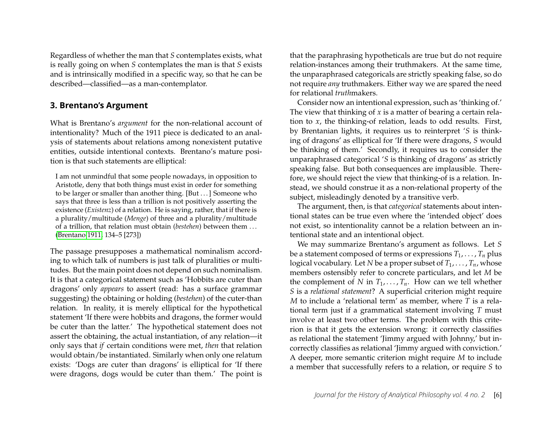Regardless of whether the man that *S* contemplates exists, what is really going on when *S* contemplates the man is that *S* exists and is intrinsically modified in a specific way, so that he can be described—classified—as a man-contemplator.

#### <span id="page-6-0"></span>**3. Brentano's Argument**

What is Brentano's *argument* for the non-relational account of intentionality? Much of the 1911 piece is dedicated to an analysis of statements about relations among nonexistent putative entities, outside intentional contexts. Brentano's mature position is that such statements are elliptical:

I am not unmindful that some people nowadays, in opposition to Aristotle, deny that both things must exist in order for something to be larger or smaller than another thing. [But . . . ] Someone who says that three is less than a trillion is not positively asserting the existence (*Existenz*) of a relation. He is saying, rather, that if there is a plurality/multitude (*Menge*) of three and a plurality/multitude of a trillion, that relation must obtain (*bestehen*) between them . . . [\(Brentano 1911,](#page-14-4) 134–5 [273])

The passage presupposes a mathematical nominalism according to which talk of numbers is just talk of pluralities or multitudes. But the main point does not depend on such nominalism. It is that a categorical statement such as 'Hobbits are cuter than dragons' only *appears* to assert (read: has a surface grammar suggesting) the obtaining or holding (*bestehen*) of the cuter-than relation. In reality, it is merely elliptical for the hypothetical statement 'If there were hobbits and dragons, the former would be cuter than the latter.' The hypothetical statement does not assert the obtaining, the actual instantiation, of any relation—it only says that *if* certain conditions were met, *then* that relation would obtain/be instantiated. Similarly when only one relatum exists: 'Dogs are cuter than dragons' is elliptical for 'If there were dragons, dogs would be cuter than them.' The point is

that the paraphrasing hypotheticals are true but do not require relation-instances among their truthmakers. At the same time, the unparaphrased categoricals are strictly speaking false, so do not require *any* truthmakers. Either way we are spared the need for relational *truth*makers.

Consider now an intentional expression, such as 'thinking of.' The view that thinking of *x* is a matter of bearing a certain relation to *x*, the thinking-of relation, leads to odd results. First, by Brentanian lights, it requires us to reinterpret '*S* is thinking of dragons' as elliptical for 'If there were dragons, *S* would be thinking of them.' Secondly, it requires us to consider the unparaphrased categorical '*S* is thinking of dragons' as strictly speaking false. But both consequences are implausible. Therefore, we should reject the view that thinking-of is a relation. Instead, we should construe it as a non-relational property of the subject, misleadingly denoted by a transitive verb.

The argument, then, is that *categorical* statements about intentional states can be true even where the 'intended object' does not exist, so intentionality cannot be a relation between an intentional state and an intentional object.

We may summarize Brentano's argument as follows. Let *S* be a statement composed of terms or expressions  $T_1, \ldots, T_n$  plus logical vocabulary. Let *N* be a proper subset of  $T_1, \ldots, T_n$ , whose members ostensibly refer to concrete particulars, and let *M* be the complement of *N* in  $T_1, \ldots, T_n$ . How can we tell whether *S* is a *relational statement*? A superficial criterion might require *M* to include a 'relational term' as member, where *T* is a relational term just if a grammatical statement involving *T* must involve at least two other terms. The problem with this criterion is that it gets the extension wrong: it correctly classifies as relational the statement 'Jimmy argued with Johnny,' but incorrectly classifies as relational 'Jimmy argued with conviction.' A deeper, more semantic criterion might require *M* to include a member that successfully refers to a relation, or require *S* to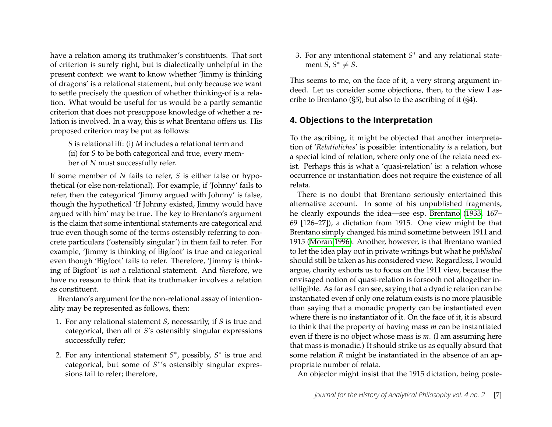have a relation among its truthmaker's constituents. That sort of criterion is surely right, but is dialectically unhelpful in the present context: we want to know whether 'Jimmy is thinking of dragons' is a relational statement, but only because we want to settle precisely the question of whether thinking-of is a relation. What would be useful for us would be a partly semantic criterion that does not presuppose knowledge of whether a relation is involved. In a way, this is what Brentano offers us. His proposed criterion may be put as follows:

*S* is relational iff: (i) *M* includes a relational term and (ii) for *S* to be both categorical and true, every member of *N* must successfully refer.

If some member of *N* fails to refer, *S* is either false or hypothetical (or else non-relational). For example, if 'Johnny' fails to refer, then the categorical 'Jimmy argued with Johnny' is false, though the hypothetical 'If Johnny existed, Jimmy would have argued with him' may be true. The key to Brentano's argument is the claim that some intentional statements are categorical and true even though some of the terms ostensibly referring to concrete particulars ('ostensibly singular') in them fail to refer. For example, 'Jimmy is thinking of Bigfoot' is true and categorical even though 'Bigfoot' fails to refer. Therefore, 'Jimmy is thinking of Bigfoot' is *not* a relational statement. And *there*fore, we have no reason to think that its truthmaker involves a relation as constituent.

Brentano's argument for the non-relational assay of intentionality may be represented as follows, then:

- 1. For any relational statement *S*, necessarily, if *S* is true and categorical, then all of *S*'s ostensibly singular expressions successfully refer;
- 2. For any intentional statement *S* ∗ , possibly, *S* ∗ is true and categorical, but some of S<sup>\*</sup>'s ostensibly singular expressions fail to refer; therefore,

3. For any intentional statement *S* <sup>∗</sup> and any relational statement  $\ddot{S}$ ,  $S^* \neq S$ .

This seems to me, on the face of it, a very strong argument indeed. Let us consider some objections, then, to the view I ascribe to Brentano (§5), but also to the ascribing of it (§4).

## <span id="page-7-0"></span>**4. Objections to the Interpretation**

To the ascribing, it might be objected that another interpretation of '*Relativliches*' is possible: intentionality *is* a relation, but a special kind of relation, where only one of the relata need exist. Perhaps this is what a 'quasi-relation' is: a relation whose occurrence or instantiation does not require the existence of all relata.

There is no doubt that Brentano seriously entertained this alternative account. In some of his unpublished fragments, he clearly expounds the idea—see esp. [Brentano \(1933,](#page-14-9) 167– 69 [126–27]), a dictation from 1915. One view might be that Brentano simply changed his mind sometime between 1911 and 1915 [\(Moran 1996\)](#page-15-0). Another, however, is that Brentano wanted to let the idea play out in private writings but what he *published* should still be taken as his considered view. Regardless, I would argue, charity exhorts us to focus on the 1911 view, because the envisaged notion of quasi-relation is forsooth not altogether intelligible. As far as I can see, saying that a dyadic relation can be instantiated even if only one relatum exists is no more plausible than saying that a monadic property can be instantiated even where there is no instantiator of it. On the face of it, it is absurd to think that the property of having mass *m* can be instantiated even if there is no object whose mass is *m*. (I am assuming here that mass is monadic.) It should strike us as equally absurd that some relation *R* might be instantiated in the absence of an appropriate number of relata.

An objector might insist that the 1915 dictation, being poste-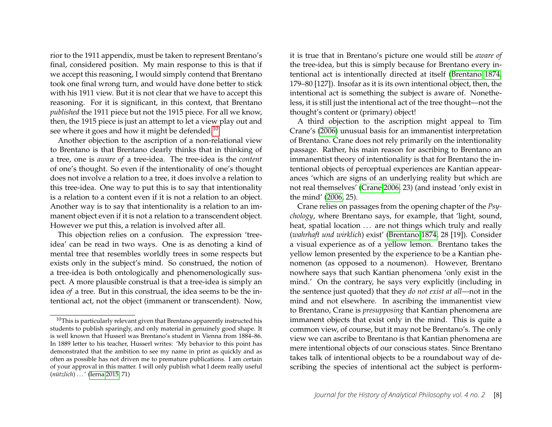rior to the 1911 appendix, must be taken to represent Brentano's final, considered position. My main response to this is that if we accept this reasoning, I would simply contend that Brentano took one final wrong turn, and would have done better to stick with his 1911 view. But it is not clear that we have to accept this reasoning. For it is significant, in this context, that Brentano *published* the 1911 piece but not the 1915 piece. For all we know, then, the 1915 piece is just an attempt to let a view play out and see where it goes and how it might be defended.<sup>[10](#page-8-0)</sup>

Another objection to the ascription of a non-relational view to Brentano is that Brentano clearly thinks that in thinking of a tree, one is *aware of* a tree-idea. The tree-idea is the *content* of one's thought. So even if the intentionality of one's thought does not involve a relation to a tree, it does involve a relation to this tree-idea. One way to put this is to say that intentionality is a relation to a content even if it is not a relation to an object. Another way is to say that intentionality is a relation to an immanent object even if it is not a relation to a transcendent object. However we put this, a relation is involved after all.

This objection relies on a confusion. The expression 'treeidea' can be read in two ways. One is as denoting a kind of mental tree that resembles worldly trees in some respects but exists only in the subject's mind. So construed, the notion of a tree-idea is both ontologically and phenomenologically suspect. A more plausible construal is that a tree-idea is simply an idea *of* a tree. But in this construal, the idea seems to be the intentional act, not the object (immanent or transcendent). Now,

it is true that in Brentano's picture one would still be *aware of* the tree-idea, but this is simply because for Brentano every intentional act is intentionally directed at itself [\(Brentano 1874,](#page-14-0) 179–80 [127]). Insofar as it is its own intentional object, then, the intentional act is something the subject is aware of. Nonetheless, it is still just the intentional act of the tree thought—not the thought's content or (primary) object!

A third objection to the ascription might appeal to Tim Crane's [\(2006\)](#page-14-2) unusual basis for an immanentist interpretation of Brentano. Crane does not rely primarily on the intentionality passage. Rather, his main reason for ascribing to Brentano an immanentist theory of intentionality is that for Brentano the intentional objects of perceptual experiences are Kantian appearances 'which are signs of an underlying reality but which are not real themselves' [\(Crane 2006,](#page-14-2) 23) (and instead 'only exist in the mind' [\(2006,](#page-14-2) 25).

Crane relies on passages from the opening chapter of the *Psychology*, where Brentano says, for example, that 'light, sound, heat, spatial location ... are not things which truly and really (*wahrhaft und wirklich*) exist' [\(Brentano 1874,](#page-14-0) 28 [19]). Consider a visual experience as of a yellow lemon. Brentano takes the yellow lemon presented by the experience to be a Kantian phenomenon (as opposed to a noumenon). However, Brentano nowhere says that such Kantian phenomena 'only exist in the mind.' On the contrary, he says very explicitly (including in the sentence just quoted) that they *do not exist at all*—not in the mind and not elsewhere. In ascribing the immanentist view to Brentano, Crane is *presupposing* that Kantian phenomena are immanent objects that exist only in the mind. This is quite a common view, of course, but it may not be Brentano's. The only view we can ascribe to Brentano is that Kantian phenomena are mere intentional objects of our conscious states. Since Brentano takes talk of intentional objects to be a roundabout way of describing the species of intentional act the subject is perform-

<span id="page-8-0"></span> $10$ This is particularly relevant given that Brentano apparently instructed his students to publish sparingly, and only material in genuinely good shape. It is well known that Husserl was Brentano's student in Vienna from 1884–86. In 1889 letter to his teacher, Husserl writes: 'My behavior to this point has demonstrated that the ambition to see my name in print as quickly and as often as possible has not driven me to premature publications. I am certain of your approval in this matter. I will only publish what I deem really useful (*nützlich*) . . . ' [\(Ierna 2015,](#page-14-11) 71)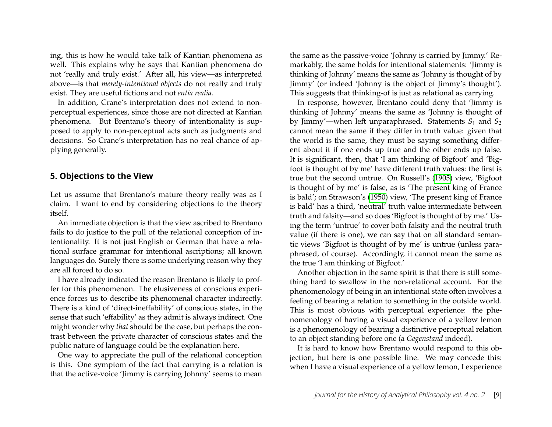ing, this is how he would take talk of Kantian phenomena as well. This explains why he says that Kantian phenomena do not 'really and truly exist.' After all, his view—as interpreted above—is that *merely-intentional objects* do not really and truly exist. They are useful fictions and not *entia realia*.

In addition, Crane's interpretation does not extend to nonperceptual experiences, since those are not directed at Kantian phenomena. But Brentano's theory of intentionality is supposed to apply to non-perceptual acts such as judgments and decisions. So Crane's interpretation has no real chance of applying generally.

#### <span id="page-9-0"></span>**5. Objections to the View**

Let us assume that Brentano's mature theory really was as I claim. I want to end by considering objections to the theory itself.

An immediate objection is that the view ascribed to Brentano fails to do justice to the pull of the relational conception of intentionality. It is not just English or German that have a relational surface grammar for intentional ascriptions; all known languages do. Surely there is some underlying reason why they are all forced to do so.

I have already indicated the reason Brentano is likely to proffer for this phenomenon. The elusiveness of conscious experience forces us to describe its phenomenal character indirectly. There is a kind of 'direct-ineffability' of conscious states, in the sense that such 'effability' as they admit is always indirect. One might wonder why *that* should be the case, but perhaps the contrast between the private character of conscious states and the public nature of language could be the explanation here.

One way to appreciate the pull of the relational conception is this. One symptom of the fact that carrying is a relation is that the active-voice 'Jimmy is carrying Johnny' seems to mean

the same as the passive-voice 'Johnny is carried by Jimmy.' Remarkably, the same holds for intentional statements: 'Jimmy is thinking of Johnny' means the same as 'Johnny is thought of by Jimmy' (or indeed 'Johnny is the object of Jimmy's thought'). This suggests that thinking-of is just as relational as carrying.

In response, however, Brentano could deny that 'Jimmy is thinking of Johnny' means the same as 'Johnny is thought of by Jimmy'—when left unparaphrased. Statements  $S_1$  and  $S_2$ cannot mean the same if they differ in truth value: given that the world is the same, they must be saying something different about it if one ends up true and the other ends up false. It is significant, then, that 'I am thinking of Bigfoot' and 'Bigfoot is thought of by me' have different truth values: the first is true but the second untrue. On Russell's [\(1905\)](#page-15-3) view, 'Bigfoot is thought of by me' is false, as is 'The present king of France is bald'; on Strawson's [\(1950\)](#page-15-4) view, 'The present king of France is bald' has a third, 'neutral' truth value intermediate between truth and falsity—and so does 'Bigfoot is thought of by me.' Using the term 'untrue' to cover both falsity and the neutral truth value (if there is one), we can say that on all standard semantic views 'Bigfoot is thought of by me' is untrue (unless paraphrased, of course). Accordingly, it cannot mean the same as the true 'I am thinking of Bigfoot.'

Another objection in the same spirit is that there is still something hard to swallow in the non-relational account. For the phenomenology of being in an intentional state often involves a feeling of bearing a relation to something in the outside world. This is most obvious with perceptual experience: the phenomenology of having a visual experience of a yellow lemon is a phenomenology of bearing a distinctive perceptual relation to an object standing before one (a *Gegenstand* indeed).

It is hard to know how Brentano would respond to this objection, but here is one possible line. We may concede this: when I have a visual experience of a yellow lemon, I experience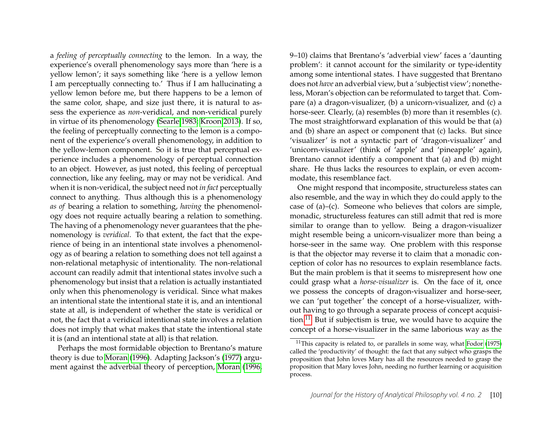a *feeling of perceptually connecting* to the lemon. In a way, the experience's overall phenomenology says more than 'here is a yellow lemon'; it says something like 'here is a yellow lemon I am perceptually connecting to.' Thus if I am hallucinating a yellow lemon before me, but there happens to be a lemon of the same color, shape, and size just there, it is natural to assess the experience as *non*-veridical, and non-veridical purely in virtue of its phenomenology [\(Searle 1983;](#page-15-5) [Kroon 2013\)](#page-14-12). If so, the feeling of perceptually connecting to the lemon is a component of the experience's overall phenomenology, in addition to the yellow-lemon component. So it is true that perceptual experience includes a phenomenology of perceptual connection to an object. However, as just noted, this feeling of perceptual connection, like any feeling, may or may not be veridical. And when it is non-veridical, the subject need not *in fact* perceptually connect to anything. Thus although this is a phenomenology *as of* bearing a relation to something, *having* the phenomenology does not require actually bearing a relation to something. The having of a phenomenology never guarantees that the phenomenology is *veridical*. To that extent, the fact that the experience of being in an intentional state involves a phenomenology as of bearing a relation to something does not tell against a non-relational metaphysic of intentionality. The non-relational account can readily admit that intentional states involve such a phenomenology but insist that a relation is actually instantiated only when this phenomenology is veridical. Since what makes an intentional state the intentional state it is, and an intentional state at all, is independent of whether the state is veridical or not, the fact that a veridical intentional state involves a relation does not imply that what makes that state the intentional state it is (and an intentional state at all) is that relation.

Perhaps the most formidable objection to Brentano's mature theory is due to [Moran](#page-15-0) [\(1996\)](#page-15-0). Adapting Jackson's [\(1977\)](#page-14-13) argument against the adverbial theory of perception, [Moran](#page-15-0) [\(1996,](#page-15-0)

9–10) claims that Brentano's 'adverbial view' faces a 'daunting problem': it cannot account for the similarity or type-identity among some intentional states. I have suggested that Brentano does not *have* an adverbial view, but a 'subjectist view'; nonetheless, Moran's objection can be reformulated to target that. Compare (a) a dragon-visualizer, (b) a unicorn-visualizer, and (c) a horse-seer. Clearly, (a) resembles (b) more than it resembles (c). The most straightforward explanation of this would be that (a) and (b) share an aspect or component that (c) lacks. But since 'visualizer' is not a syntactic part of 'dragon-visualizer' and 'unicorn-visualizer' (think of 'apple' and 'pineapple' again), Brentano cannot identify a component that (a) and (b) might share. He thus lacks the resources to explain, or even accommodate, this resemblance fact.

One might respond that incomposite, structureless states can also resemble, and the way in which they do could apply to the case of (a)–(c). Someone who believes that colors are simple, monadic, structureless features can still admit that red is more similar to orange than to yellow. Being a dragon-visualizer might resemble being a unicorn-visualizer more than being a horse-seer in the same way. One problem with this response is that the objector may reverse it to claim that a monadic conception of color has no resources to explain resemblance facts. But the main problem is that it seems to misrepresent how one could grasp what a *horse-visualizer* is. On the face of it, once we possess the concepts of dragon-visualizer and horse-seer, we can 'put together' the concept of a horse-visualizer, without having to go through a separate process of concept acquisition.[11](#page-10-0) But if subjectism is true, we would have to acquire the concept of a horse-visualizer in the same laborious way as the

<span id="page-10-0"></span> $11$ This capacity is related to, or parallels in some way, what [Fodor \(1975\)](#page-14-14) called the 'productivity' of thought: the fact that any subject who grasps the proposition that John loves Mary has all the resources needed to grasp the proposition that Mary loves John, needing no further learning or acquisition process.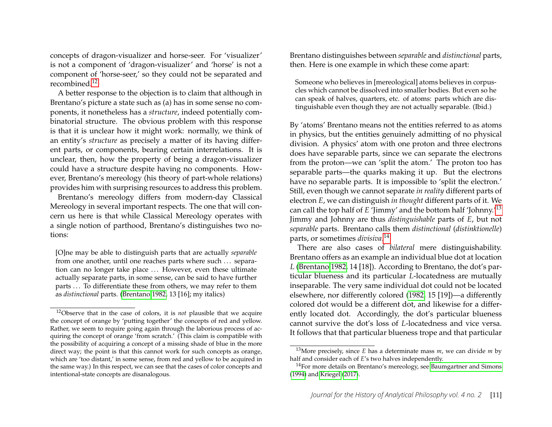concepts of dragon-visualizer and horse-seer. For 'visualizer' is not a component of 'dragon-visualizer' and 'horse' is not a component of 'horse-seer,' so they could not be separated and recombined.[12](#page-11-0)

A better response to the objection is to claim that although in Brentano's picture a state such as (a) has in some sense no components, it nonetheless has a *structure*, indeed potentially combinatorial structure. The obvious problem with this response is that it is unclear how it might work: normally, we think of an entity's *structure* as precisely a matter of its having different parts, or components, bearing certain interrelations. It is unclear, then, how the property of being a dragon-visualizer could have a structure despite having no components. However, Brentano's mereology (his theory of part-whole relations) provides him with surprising resources to address this problem.

Brentano's mereology differs from modern-day Classical Mereology in several important respects. The one that will concern us here is that while Classical Mereology operates with a single notion of parthood, Brentano's distinguishes two notions:

[O]ne may be able to distinguish parts that are actually *separable* from one another, until one reaches parts where such ... separation can no longer take place ... However, even these ultimate actually separate parts, in some sense, can be said to have further parts ... To differentiate these from others, we may refer to them as *distinctional* parts. [\(Brentano 1982,](#page-14-15) 13 [16]; my italics)

Brentano distinguishes between *separable* and *distinctional* parts, then. Here is one example in which these come apart:

Someone who believes in [mereological] atoms believes in corpuscles which cannot be dissolved into smaller bodies. But even so he can speak of halves, quarters, etc. of atoms: parts which are distinguishable even though they are not actually separable. (Ibid.)

By 'atoms' Brentano means not the entities referred to as atoms in physics, but the entities genuinely admitting of no physical division. A physics' atom with one proton and three electrons does have separable parts, since we can separate the electrons from the proton—we can 'split the atom.' The proton too has separable parts—the quarks making it up. But the electrons have no separable parts. It is impossible to 'split the electron.' Still, even though we cannot separate *in reality* different parts of electron *E*, we can distinguish *in thought* different parts of it. We can call the top half of *E* 'Jimmy' and the bottom half 'Johnny.'[13](#page-11-1) Jimmy and Johnny are thus *distinguishable* parts of *E*, but not *separable* parts. Brentano calls them *distinctional* (*distinktionelle*) parts, or sometimes *divisiva*. [14](#page-11-2)

There are also cases of *bilateral* mere distinguishability. Brentano offers as an example an individual blue dot at location *L* [\(Brentano 1982,](#page-14-15) 14 [18]). According to Brentano, the dot's particular blueness and its particular *L*-locatedness are mutually inseparable. The very same individual dot could not be located elsewhere, nor differently colored [\(1982,](#page-14-15) 15 [19])—a differently colored dot would be a different dot, and likewise for a differently located dot. Accordingly, the dot's particular blueness cannot survive the dot's loss of *L*-locatedness and vice versa. It follows that that particular blueness trope and that particular

<span id="page-11-0"></span><sup>12</sup>Observe that in the case of colors, it is *not* plausible that we acquire the concept of orange by 'putting together' the concepts of red and yellow. Rather, we seem to require going again through the laborious process of acquiring the concept of orange 'from scratch.' (This claim is compatible with the possibility of acquiring a concept of a missing shade of blue in the more direct way; the point is that this cannot work for such concepts as orange, which are 'too distant,' in some sense, from red and yellow to be acquired in the same way.) In this respect, we can see that the cases of color concepts and intentional-state concepts are disanalogous.

<span id="page-11-1"></span><sup>13</sup>More precisely, since *E* has a determinate mass *m*, we can divide *m* by half and consider each of *E*'s two halves independently.

<span id="page-11-2"></span> $14$ For more details on Brentano's mereology, see [Baumgartner and Simons](#page-14-16) [\(1994\)](#page-14-16) and [Kriegel](#page-14-17) [\(2017\)](#page-14-17).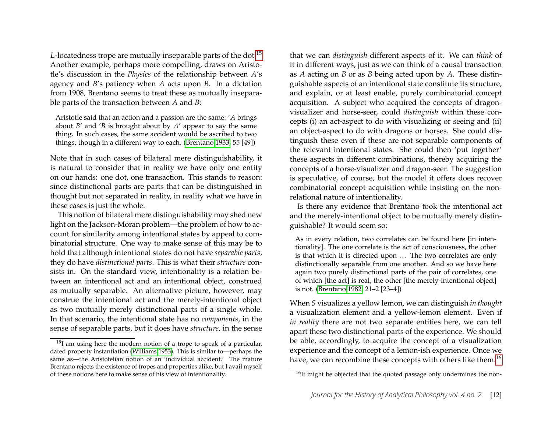*L*-locatedness trope are mutually inseparable parts of the dot.<sup>[15](#page-12-0)</sup> Another example, perhaps more compelling, draws on Aristotle's discussion in the *Physics* of the relationship between *A*'s agency and *B*'s patiency when *A* acts upon *B*. In a dictation from 1908, Brentano seems to treat these as mutually inseparable parts of the transaction between *A* and *B*:

Aristotle said that an action and a passion are the same: '*A* brings about *B*' and '*B* is brought about by *A*' appear to say the same thing. In such cases, the same accident would be ascribed to two things, though in a different way to each. [\(Brentano 1933,](#page-14-9) 55 [49])

Note that in such cases of bilateral mere distinguishability, it is natural to consider that in reality we have only one entity on our hands: one dot, one transaction. This stands to reason: since distinctional parts are parts that can be distinguished in thought but not separated in reality, in reality what we have in these cases is just the whole.

This notion of bilateral mere distinguishability may shed new light on the Jackson-Moran problem—the problem of how to account for similarity among intentional states by appeal to combinatorial structure. One way to make sense of this may be to hold that although intentional states do not have *separable parts*, they do have *distinctional parts*. This is what their *structure* consists in. On the standard view, intentionality is a relation between an intentional act and an intentional object, construed as mutually separable. An alternative picture, however, may construe the intentional act and the merely-intentional object as two mutually merely distinctional parts of a single whole. In that scenario, the intentional state has no *components*, in the sense of separable parts, but it does have *structure*, in the sense that we can *distinguish* different aspects of it. We can *think* of it in different ways, just as we can think of a causal transaction as *A* acting on *B* or as *B* being acted upon by *A*. These distinguishable aspects of an intentional state constitute its structure, and explain, or at least enable, purely combinatorial concept acquisition. A subject who acquired the concepts of dragonvisualizer and horse-seer, could *distinguish* within these concepts (i) an act-aspect to do with visualizing or seeing and (ii) an object-aspect to do with dragons or horses. She could distinguish these even if these are not separable components of the relevant intentional states. She could then 'put together' these aspects in different combinations, thereby acquiring the concepts of a horse-visualizer and dragon-seer. The suggestion is speculative, of course, but the model it offers does recover combinatorial concept acquisition while insisting on the nonrelational nature of intentionality.

Is there any evidence that Brentano took the intentional act and the merely-intentional object to be mutually merely distinguishable? It would seem so:

As in every relation, two correlates can be found here [in intentionality]. The one correlate is the act of consciousness, the other is that which it is directed upon ... The two correlates are only distinctionally separable from one another. And so we have here again two purely distinctional parts of the pair of correlates, one of which [the act] is real, the other [the merely-intentional object] is not. [\(Brentano 1982,](#page-14-15) 21–2 [23–4])

When *S* visualizes a yellow lemon, we can distinguish *in thought* a visualization element and a yellow-lemon element. Even if *in reality* there are not two separate entities here, we can tell apart these two distinctional parts of the experience. We should be able, accordingly, to acquire the concept of a visualization experience and the concept of a lemon-ish experience. Once we have, we can recombine these concepts with others like them.<sup>[16](#page-12-1)</sup>

<span id="page-12-0"></span><sup>&</sup>lt;sup>15</sup>I am using here the modern notion of a trope to speak of a particular, dated property instantiation [\(Williams 1953\)](#page-15-6). This is similar to—perhaps the same as—the Aristotelian notion of an 'individual accident.' The mature Brentano rejects the existence of tropes and properties alike, but I avail myself of these notions here to make sense of his view of intentionality.

<span id="page-12-1"></span><sup>&</sup>lt;sup>16</sup>It might be objected that the quoted passage only undermines the non-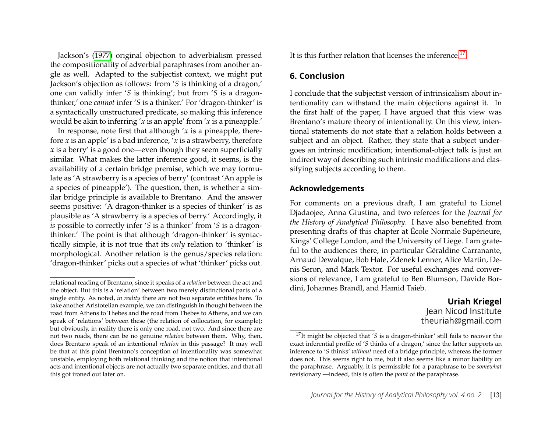Jackson's [\(1977\)](#page-14-13) original objection to adverbialism pressed the compositionality of adverbial paraphrases from another angle as well. Adapted to the subjectist context, we might put Jackson's objection as follows: from '*S* is thinking of a dragon,' one can validly infer '*S* is thinking'; but from '*S* is a dragonthinker,' one *cannot* infer '*S* is a thinker.' For 'dragon-thinker' is a syntactically unstructured predicate, so making this inference would be akin to inferring '*x* is an apple' from '*x* is a pineapple.'

In response, note first that although '*x* is a pineapple, therefore *x* is an apple' is a bad inference, '*x* is a strawberry, therefore  $x$  is a berry' is a good one—even though they seem superficially similar. What makes the latter inference good, it seems, is the availability of a certain bridge premise, which we may formulate as 'A strawberry is a species of berry' (contrast 'An apple is a species of pineapple'). The question, then, is whether a similar bridge principle is available to Brentano. And the answer seems positive: 'A dragon-thinker is a species of thinker' is as plausible as 'A strawberry is a species of berry.' Accordingly, it *is* possible to correctly infer '*S* is a thinker' from '*S* is a dragonthinker.' The point is that although 'dragon-thinker' is syntactically simple, it is not true that its *only* relation to 'thinker' is morphological. Another relation is the genus/species relation: 'dragon-thinker' picks out a species of what 'thinker' picks out.

It is this further relation that licenses the inference.<sup>[17](#page-13-0)</sup>

#### **6. Conclusion**

I conclude that the subjectist version of intrinsicalism about intentionality can withstand the main objections against it. In the first half of the paper, I have argued that this view was Brentano's mature theory of intentionality. On this view, intentional statements do not state that a relation holds between a subject and an object. Rather, they state that a subject undergoes an intrinsic modification; intentional-object talk is just an indirect way of describing such intrinsic modifications and classifying subjects according to them.

#### **Acknowledgements**

For comments on a previous draft, I am grateful to Lionel Djadaojee, Anna Giustina, and two referees for the *Journal for the History of Analytical Philosophy*. I have also benefited from presenting drafts of this chapter at École Normale Supérieure, Kings' College London, and the University of Liege. I am grateful to the audiences there, in particular Géraldine Carranante, Arnaud Dewalque, Bob Hale, Zdenek Lenner, Alice Martin, Denis Seron, and Mark Textor. For useful exchanges and conversions of relevance, I am grateful to Ben Blumson, Davide Bordini, Johannes Brandl, and Hamid Taieb.

# **Uriah Kriegel** Jean Nicod Institute theuriah@gmail.com

relational reading of Brentano, since it speaks of a *relation* between the act and the object. But this is a 'relation' between two merely distinctional parts of a single entity. As noted, *in reality* there are not two separate entities here. To take another Aristotelian example, we can distinguish in thought between the road from Athens to Thebes and the road from Thebes to Athens, and we can speak of 'relations' between these (the relation of collocation, for example); but obviously, in reality there is only one road, not two. And since there are not two roads, there can be no genuine *relation* between them. Why, then, does Brentano speak of an intentional *relation* in this passage? It may well be that at this point Brentano's conception of intentionality was somewhat unstable, employing both relational thinking and the notion that intentional acts and intentional objects are not actually two separate entities, and that all this got ironed out later on.

<span id="page-13-0"></span><sup>&</sup>lt;sup>17</sup>It might be objected that '*S* is a dragon-thinker' still fails to recover the exact inferential profile of '*S* thinks of a dragon,' since the latter supports an inference to '*S* thinks' *without* need of a bridge principle, whereas the former does not. This seems right to me, but it also seems like a minor liability on the paraphrase. Arguably, it is permissible for a paraphrase to be *somewhat* revisionary —indeed, this is often the *point* of the paraphrase.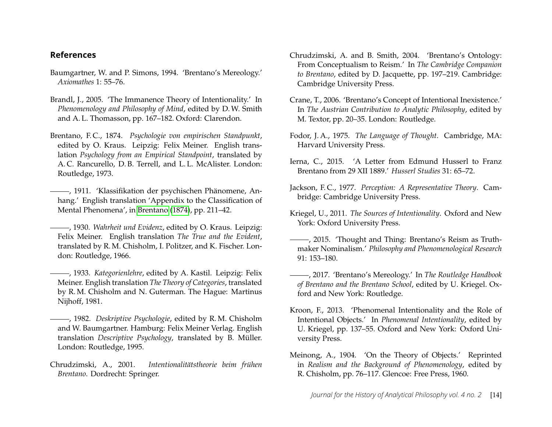## **References**

- <span id="page-14-16"></span>Baumgartner, W. and P. Simons, 1994. 'Brentano's Mereology.' *Axiomathes* 1: 55–76.
- <span id="page-14-3"></span>Brandl, J., 2005. 'The Immanence Theory of Intentionality.' In *Phenomenology and Philosophy of Mind*, edited by D. W. Smith and A. L. Thomasson, pp. 167–182. Oxford: Clarendon.
- <span id="page-14-0"></span>Brentano, F. C., 1874. *Psychologie von empirischen Standpunkt*, edited by O. Kraus. Leipzig: Felix Meiner. English translation *Psychology from an Empirical Standpoint*, translated by A. C. Rancurello, D. B. Terrell, and L. L. McAlister. London: Routledge, 1973.
- <span id="page-14-4"></span>, 1911. 'Klassifikation der psychischen Phänomene, Anhang.' English translation 'Appendix to the Classification of Mental Phenomena', in [Brentano](#page-14-0) [\(1874\)](#page-14-0), pp. 211–42.
- <span id="page-14-5"></span>, 1930. *Wahrheit und Evidenz*, edited by O. Kraus. Leipzig: Felix Meiner. English translation *The True and the Evident*, translated by R. M. Chisholm, I. Politzer, and K. Fischer. London: Routledge, 1966.
- <span id="page-14-9"></span>, 1933. *Kategorienlehre*, edited by A. Kastil. Leipzig: Felix Meiner. English translation *The Theory of Categories*, translated by R. M. Chisholm and N. Guterman. The Hague: Martinus Nijhoff, 1981.
- <span id="page-14-15"></span>, 1982. *Deskriptive Psychologie*, edited by R. M. Chisholm and W. Baumgartner. Hamburg: Felix Meiner Verlag. English translation *Descriptive Psychology*, translated by B. Müller. London: Routledge, 1995.
- <span id="page-14-1"></span>Chrudzimski, A., 2001. *Intentionalitätstheorie beim frühen Brentano*. Dordrecht: Springer.
- <span id="page-14-8"></span>Chrudzimski, A. and B. Smith, 2004. 'Brentano's Ontology: From Conceptualism to Reism.' In *The Cambridge Companion to Brentano*, edited by D. Jacquette, pp. 197–219. Cambridge: Cambridge University Press.
- <span id="page-14-2"></span>Crane, T., 2006. 'Brentano's Concept of Intentional Inexistence.' In *The Austrian Contribution to Analytic Philosophy*, edited by M. Textor, pp. 20–35. London: Routledge.
- <span id="page-14-14"></span>Fodor, J. A., 1975. *The Language of Thought*. Cambridge, MA: Harvard University Press.
- <span id="page-14-11"></span>Ierna, C., 2015. 'A Letter from Edmund Husserl to Franz Brentano from 29 XII 1889.' *Husserl Studies* 31: 65–72.
- <span id="page-14-13"></span>Jackson, F.C., 1977. Perception: A Representative Theory. Cambridge: Cambridge University Press.
- <span id="page-14-7"></span>Kriegel, U., 2011. *The Sources of Intentionality*. Oxford and New York: Oxford University Press.
- <span id="page-14-10"></span>(2015. 'Thought and Thing: Brentano's Reism as Truthmaker Nominalism.' *Philosophy and Phenomenological Research* 91: 153–180.
- <span id="page-14-17"></span>, 2017. 'Brentano's Mereology.' In *The Routledge Handbook of Brentano and the Brentano School*, edited by U. Kriegel. Oxford and New York: Routledge.
- <span id="page-14-12"></span>Kroon, F., 2013. 'Phenomenal Intentionality and the Role of Intentional Objects.' In *Phenomenal Intentionality*, edited by U. Kriegel, pp. 137–55. Oxford and New York: Oxford University Press.
- <span id="page-14-6"></span>Meinong, A., 1904. 'On the Theory of Objects.' Reprinted in *Realism and the Background of Phenomenology*, edited by R. Chisholm, pp. 76–117. Glencoe: Free Press, 1960.